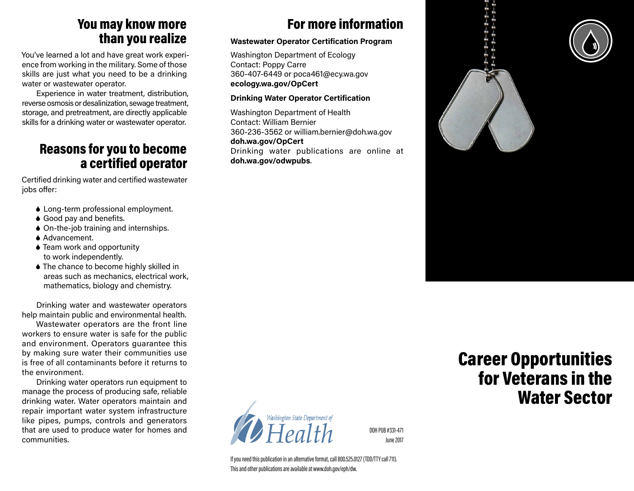## You may know more than you realize

You've learned a lot and have great work experience from working in the military. Some of those skills are just what you need to be a drinking water or wastewater operator.

Experience in water treatment, distribution, reverse osmosis or desalinization, sewage treatment, storage, and pretreatment, are directly applicable skills for a drinking water or wastewater operator.

## Reasons for you to become a certified operator

Certified drinking water and certified wastewater iobs offer:

- 6 Long-term professional employment.
- ◆ Good pay and benefits.
- ◆ On-the-job training and internships.
- **▲ Advancement.**
- 6 Team work and opportunity to work independently.
- 6 The chance to become highly skilled in areas such as mechanics, electrical work, mathematics, biology and chemistry.

Drinking water and wastewater operators help maintain public and environmental health.

Wastewater operators are the front line workers to ensure water is safe for the public and environment. Operators guarantee this by making sure water their communities use is free of all contaminants before it returns to the environment.

Drinking water operators run equipment to manage the process of producing safe, reliable drinking water. Water operators maintain and repair important water system infrastructure like pipes, pumps, controls and generators that are used to produce water for homes and communities.

# For more information

#### **Wastewater Operator Certification Program**

Washington Department of Ecology Contact: Poppy Carre 360-407-6449 or poca461@ecy.wa.gov **ecology.wa.gov/OpCert**

#### **Drinking Water Operator Certification**

Washington Department of Health Contact: William Bernier 360-236-3562 or william.bernier@doh.wa.gov **doh.wa.gov/OpCert** Drinking water publications are online at **doh.wa.gov/odwpubs**.



DOH PUB #331-471 June 2017

If you need this publication in an alternative format, call 800.525.0127 (TDD/TTY call 711). This and other publications are available at www.doh.gov/eph/dw.